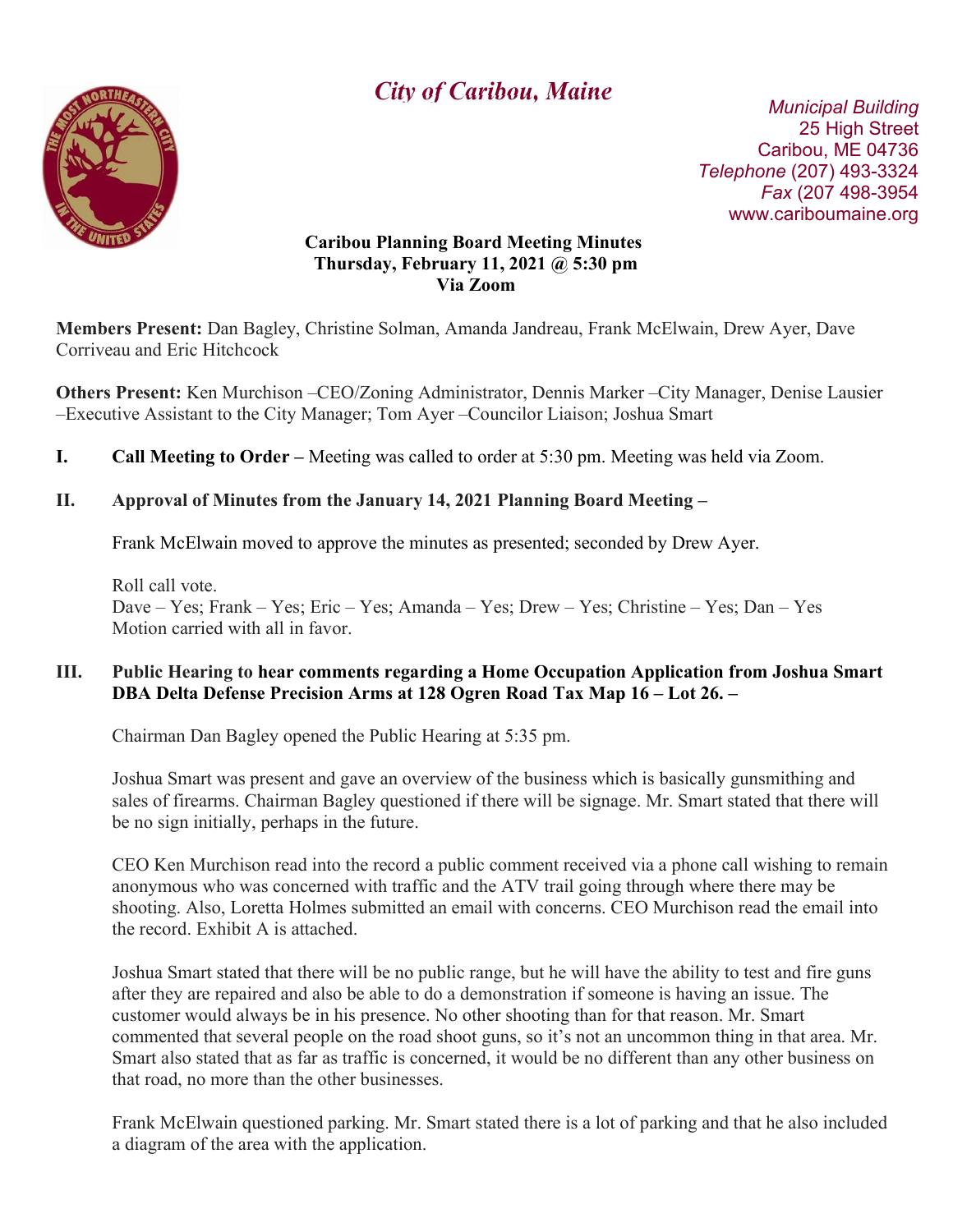

# **City of Caribou, Maine** Municipal Building

 25 High Street Caribou, ME 04736 Telephone (207) 493-3324 Fax (207 498-3954 www.cariboumaine.org

#### Caribou Planning Board Meeting Minutes Thursday, February 11, 2021 @ 5:30 pm Via Zoom

Members Present: Dan Bagley, Christine Solman, Amanda Jandreau, Frank McElwain, Drew Ayer, Dave Corriveau and Eric Hitchcock

Others Present: Ken Murchison –CEO/Zoning Administrator, Dennis Marker –City Manager, Denise Lausier –Executive Assistant to the City Manager; Tom Ayer –Councilor Liaison; Joshua Smart

I. Call Meeting to Order – Meeting was called to order at 5:30 pm. Meeting was held via Zoom.

## II. Approval of Minutes from the January 14, 2021 Planning Board Meeting –

Frank McElwain moved to approve the minutes as presented; seconded by Drew Ayer.

Roll call vote. Dave – Yes; Frank – Yes; Eric – Yes; Amanda – Yes; Drew – Yes; Christine – Yes; Dan – Yes Motion carried with all in favor.

### III. Public Hearing to hear comments regarding a Home Occupation Application from Joshua Smart DBA Delta Defense Precision Arms at 128 Ogren Road Tax Map 16 – Lot 26. –

Chairman Dan Bagley opened the Public Hearing at 5:35 pm.

Joshua Smart was present and gave an overview of the business which is basically gunsmithing and sales of firearms. Chairman Bagley questioned if there will be signage. Mr. Smart stated that there will be no sign initially, perhaps in the future.

CEO Ken Murchison read into the record a public comment received via a phone call wishing to remain anonymous who was concerned with traffic and the ATV trail going through where there may be shooting. Also, Loretta Holmes submitted an email with concerns. CEO Murchison read the email into the record. Exhibit A is attached.

Joshua Smart stated that there will be no public range, but he will have the ability to test and fire guns after they are repaired and also be able to do a demonstration if someone is having an issue. The customer would always be in his presence. No other shooting than for that reason. Mr. Smart commented that several people on the road shoot guns, so it's not an uncommon thing in that area. Mr. Smart also stated that as far as traffic is concerned, it would be no different than any other business on that road, no more than the other businesses.

Frank McElwain questioned parking. Mr. Smart stated there is a lot of parking and that he also included a diagram of the area with the application.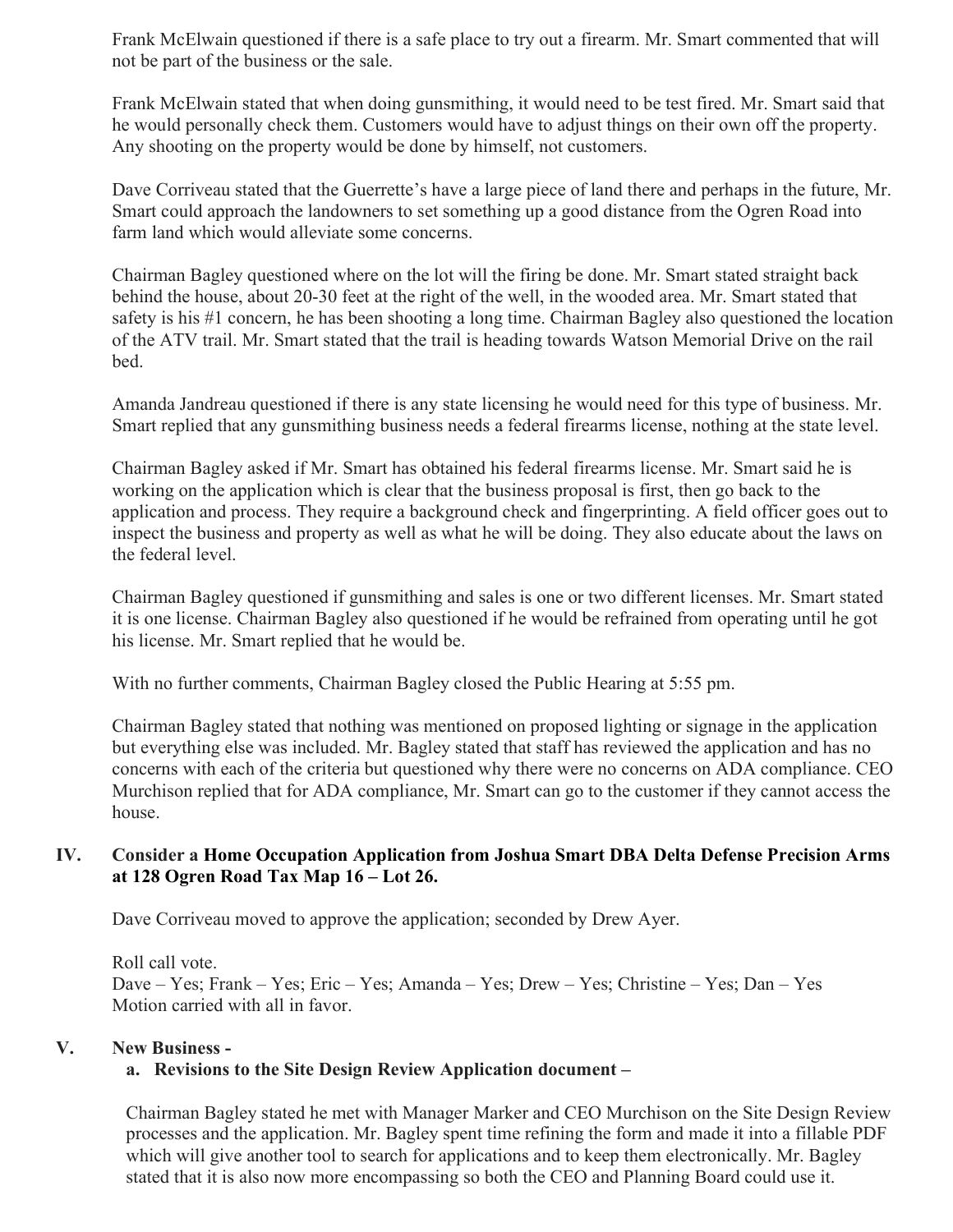Frank McElwain questioned if there is a safe place to try out a firearm. Mr. Smart commented that will not be part of the business or the sale.

Frank McElwain stated that when doing gunsmithing, it would need to be test fired. Mr. Smart said that he would personally check them. Customers would have to adjust things on their own off the property. Any shooting on the property would be done by himself, not customers.

Dave Corriveau stated that the Guerrette's have a large piece of land there and perhaps in the future, Mr. Smart could approach the landowners to set something up a good distance from the Ogren Road into farm land which would alleviate some concerns.

Chairman Bagley questioned where on the lot will the firing be done. Mr. Smart stated straight back behind the house, about 20-30 feet at the right of the well, in the wooded area. Mr. Smart stated that safety is his #1 concern, he has been shooting a long time. Chairman Bagley also questioned the location of the ATV trail. Mr. Smart stated that the trail is heading towards Watson Memorial Drive on the rail bed.

Amanda Jandreau questioned if there is any state licensing he would need for this type of business. Mr. Smart replied that any gunsmithing business needs a federal firearms license, nothing at the state level.

Chairman Bagley asked if Mr. Smart has obtained his federal firearms license. Mr. Smart said he is working on the application which is clear that the business proposal is first, then go back to the application and process. They require a background check and fingerprinting. A field officer goes out to inspect the business and property as well as what he will be doing. They also educate about the laws on the federal level.

Chairman Bagley questioned if gunsmithing and sales is one or two different licenses. Mr. Smart stated it is one license. Chairman Bagley also questioned if he would be refrained from operating until he got his license. Mr. Smart replied that he would be.

With no further comments, Chairman Bagley closed the Public Hearing at 5:55 pm.

Chairman Bagley stated that nothing was mentioned on proposed lighting or signage in the application but everything else was included. Mr. Bagley stated that staff has reviewed the application and has no concerns with each of the criteria but questioned why there were no concerns on ADA compliance. CEO Murchison replied that for ADA compliance, Mr. Smart can go to the customer if they cannot access the house.

#### IV. Consider a Home Occupation Application from Joshua Smart DBA Delta Defense Precision Arms at 128 Ogren Road Tax Map 16 – Lot 26.

Dave Corriveau moved to approve the application; seconded by Drew Ayer.

Roll call vote. Dave – Yes; Frank – Yes; Eric – Yes; Amanda – Yes; Drew – Yes; Christine – Yes; Dan – Yes Motion carried with all in favor.

### V. New Business -

### a. Revisions to the Site Design Review Application document –

Chairman Bagley stated he met with Manager Marker and CEO Murchison on the Site Design Review processes and the application. Mr. Bagley spent time refining the form and made it into a fillable PDF which will give another tool to search for applications and to keep them electronically. Mr. Bagley stated that it is also now more encompassing so both the CEO and Planning Board could use it.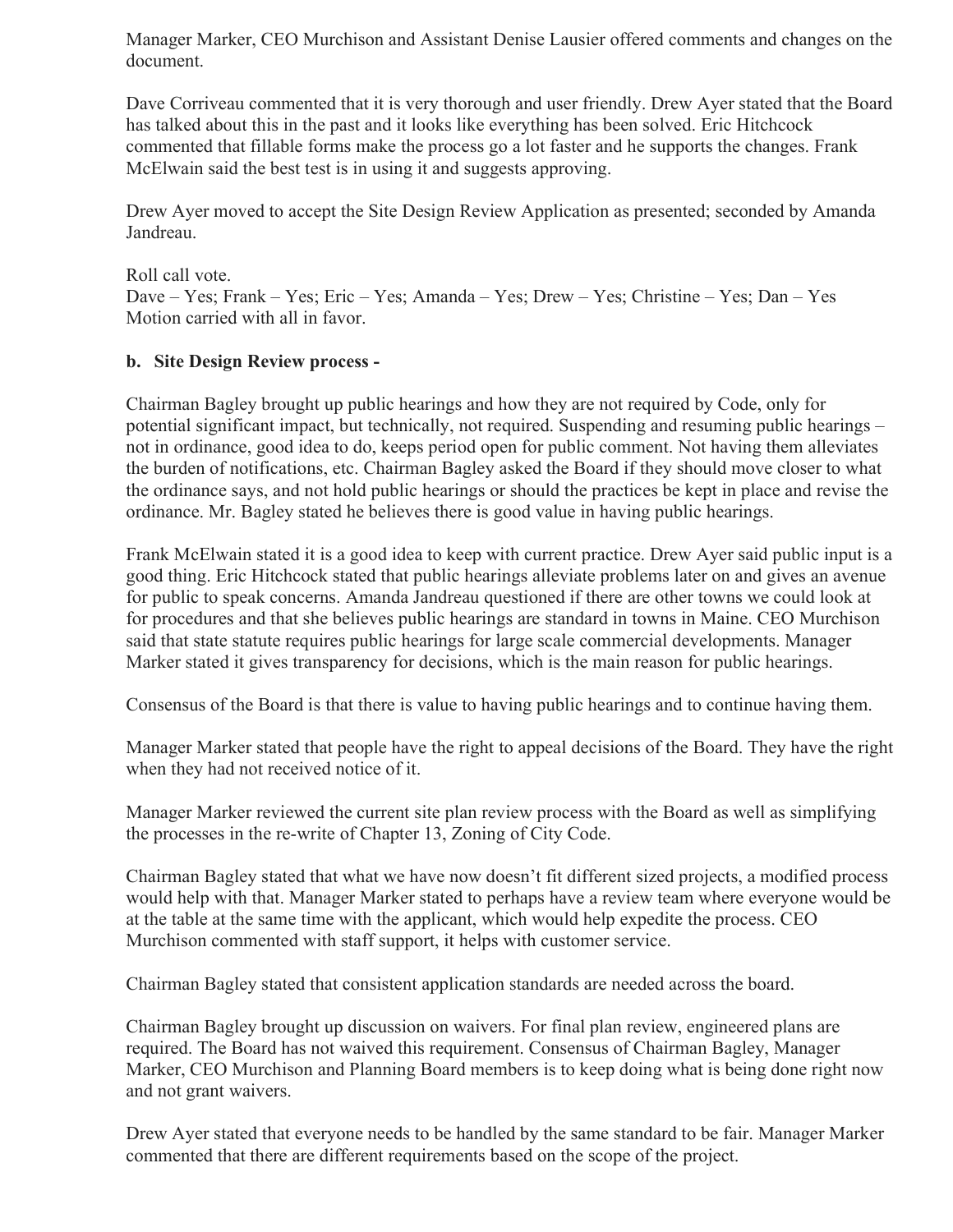Manager Marker, CEO Murchison and Assistant Denise Lausier offered comments and changes on the document.

Dave Corriveau commented that it is very thorough and user friendly. Drew Ayer stated that the Board has talked about this in the past and it looks like everything has been solved. Eric Hitchcock commented that fillable forms make the process go a lot faster and he supports the changes. Frank McElwain said the best test is in using it and suggests approving.

Drew Ayer moved to accept the Site Design Review Application as presented; seconded by Amanda Jandreau.

Roll call vote. Dave – Yes; Frank – Yes; Eric – Yes; Amanda – Yes; Drew – Yes; Christine – Yes; Dan – Yes Motion carried with all in favor.

### b. Site Design Review process -

Chairman Bagley brought up public hearings and how they are not required by Code, only for potential significant impact, but technically, not required. Suspending and resuming public hearings – not in ordinance, good idea to do, keeps period open for public comment. Not having them alleviates the burden of notifications, etc. Chairman Bagley asked the Board if they should move closer to what the ordinance says, and not hold public hearings or should the practices be kept in place and revise the ordinance. Mr. Bagley stated he believes there is good value in having public hearings.

Frank McElwain stated it is a good idea to keep with current practice. Drew Ayer said public input is a good thing. Eric Hitchcock stated that public hearings alleviate problems later on and gives an avenue for public to speak concerns. Amanda Jandreau questioned if there are other towns we could look at for procedures and that she believes public hearings are standard in towns in Maine. CEO Murchison said that state statute requires public hearings for large scale commercial developments. Manager Marker stated it gives transparency for decisions, which is the main reason for public hearings.

Consensus of the Board is that there is value to having public hearings and to continue having them.

Manager Marker stated that people have the right to appeal decisions of the Board. They have the right when they had not received notice of it.

Manager Marker reviewed the current site plan review process with the Board as well as simplifying the processes in the re-write of Chapter 13, Zoning of City Code.

Chairman Bagley stated that what we have now doesn't fit different sized projects, a modified process would help with that. Manager Marker stated to perhaps have a review team where everyone would be at the table at the same time with the applicant, which would help expedite the process. CEO Murchison commented with staff support, it helps with customer service.

Chairman Bagley stated that consistent application standards are needed across the board.

Chairman Bagley brought up discussion on waivers. For final plan review, engineered plans are required. The Board has not waived this requirement. Consensus of Chairman Bagley, Manager Marker, CEO Murchison and Planning Board members is to keep doing what is being done right now and not grant waivers.

Drew Ayer stated that everyone needs to be handled by the same standard to be fair. Manager Marker commented that there are different requirements based on the scope of the project.